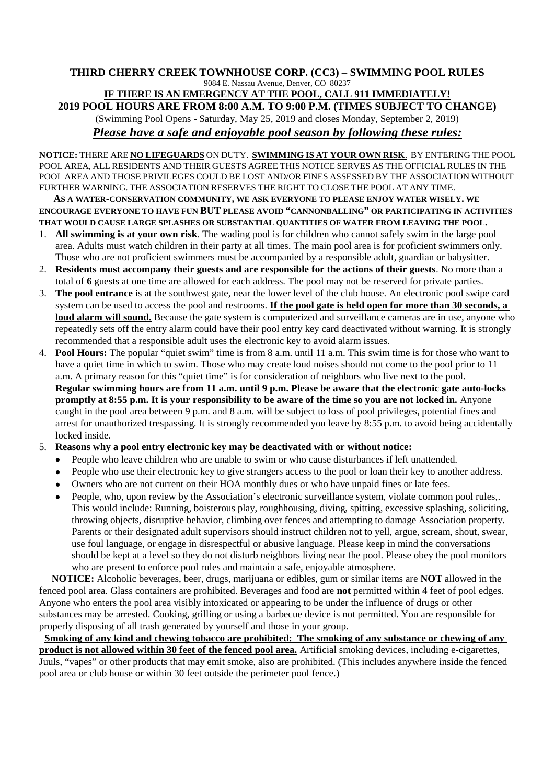## **THIRD CHERRY CREEK TOWNHOUSE CORP. (CC3) – SWIMMING POOL RULES** 9084 E. Nassau Avenue, Denver, CO 80237

**IF THERE IS AN EMERGENCY AT THE POOL, CALL 911 IMMEDIATELY! 2019 POOL HOURS ARE FROM 8:00 A.M. TO 9:00 P.M. (TIMES SUBJECT TO CHANGE)** (Swimming Pool Opens - Saturday, May 25, 2019 and closes Monday, September 2, 2019) *Please have a safe and enjoyable pool season by following these rules:*

**NOTICE:** THERE ARE **NO LIFEGUARDS** ON DUTY. **SWIMMING IS AT YOUR OWN RISK**. BY ENTERING THE POOL POOL AREA, ALL RESIDENTS AND THEIR GUESTS AGREE THIS NOTICE SERVES AS THE OFFICIAL RULES IN THE POOL AREA AND THOSE PRIVILEGES COULD BE LOST AND/OR FINES ASSESSED BY THE ASSOCIATION WITHOUT FURTHER WARNING. THE ASSOCIATION RESERVES THE RIGHT TO CLOSE THE POOL AT ANY TIME.

**AS A WATER-CONSERVATION COMMUNITY, WE ASK EVERYONE TO PLEASE ENJOY WATER WISELY. WE ENCOURAGE EVERYONE TO HAVE FUN BUT PLEASE AVOID "CANNONBALLING" OR PARTICIPATING IN ACTIVITIES THAT WOULD CAUSE LARGE SPLASHES OR SUBSTANTIAL QUANTITIES OF WATER FROM LEAVING THE POOL.**

- 1. **All swimming is at your own risk**. The wading pool is for children who cannot safely swim in the large pool area. Adults must watch children in their party at all times. The main pool area is for proficient swimmers only. Those who are not proficient swimmers must be accompanied by a responsible adult, guardian or babysitter.
- 2. **Residents must accompany their guests and are responsible for the actions of their guests**. No more than a total of **6** guests at one time are allowed for each address. The pool may not be reserved for private parties.
- 3. **The pool entrance** is at the southwest gate, near the lower level of the club house. An electronic pool swipe card system can be used to access the pool and restrooms. **If the pool gate is held open for more than 30 seconds, a loud alarm will sound.** Because the gate system is computerized and surveillance cameras are in use, anyone who repeatedly sets off the entry alarm could have their pool entry key card deactivated without warning. It is strongly recommended that a responsible adult uses the electronic key to avoid alarm issues.
- 4. **Pool Hours:** The popular "quiet swim" time is from 8 a.m. until 11 a.m. This swim time is for those who want to have a quiet time in which to swim. Those who may create loud noises should not come to the pool prior to 11 a.m. A primary reason for this "quiet time" is for consideration of neighbors who live next to the pool. **Regular swimming hours are from 11 a.m. until 9 p.m. Please be aware that the electronic gate auto-locks promptly at 8:55 p.m. It is your responsibility to be aware of the time so you are not locked in.** Anyone caught in the pool area between 9 p.m. and 8 a.m. will be subject to loss of pool privileges, potential fines and arrest for unauthorized trespassing. It is strongly recommended you leave by 8:55 p.m. to avoid being accidentally locked inside.
- 5. **Reasons why a pool entry electronic key may be deactivated with or without notice:**
	- People who leave children who are unable to swim or who cause disturbances if left unattended.
	- People who use their electronic key to give strangers access to the pool or loan their key to another address.
	- Owners who are not current on their HOA monthly dues or who have unpaid fines or late fees.
	- People, who, upon review by the Association's electronic surveillance system, violate common pool rules,. This would include: Running, boisterous play, roughhousing, diving, spitting, excessive splashing, soliciting, throwing objects, disruptive behavior, climbing over fences and attempting to damage Association property. Parents or their designated adult supervisors should instruct children not to yell, argue, scream, shout, swear, use foul language, or engage in disrespectful or abusive language. Please keep in mind the conversations should be kept at a level so they do not disturb neighbors living near the pool. Please obey the pool monitors who are present to enforce pool rules and maintain a safe, enjoyable atmosphere.

**NOTICE:** Alcoholic beverages, beer, drugs, marijuana or edibles, gum or similar items are **NOT** allowed in the fenced pool area. Glass containers are prohibited. Beverages and food are **not** permitted within **4** feet of pool edges. Anyone who enters the pool area visibly intoxicated or appearing to be under the influence of drugs or other substances may be arrested. Cooking, grilling or using a barbecue device is not permitted. You are responsible for properly disposing of all trash generated by yourself and those in your group.

**Smoking of any kind and chewing tobacco are prohibited: The smoking of any substance or chewing of any product is not allowed within 30 feet of the fenced pool area.** Artificial smoking devices, including e-cigarettes, Juuls, "vapes" or other products that may emit smoke, also are prohibited. (This includes anywhere inside the fenced pool area or club house or within 30 feet outside the perimeter pool fence.)